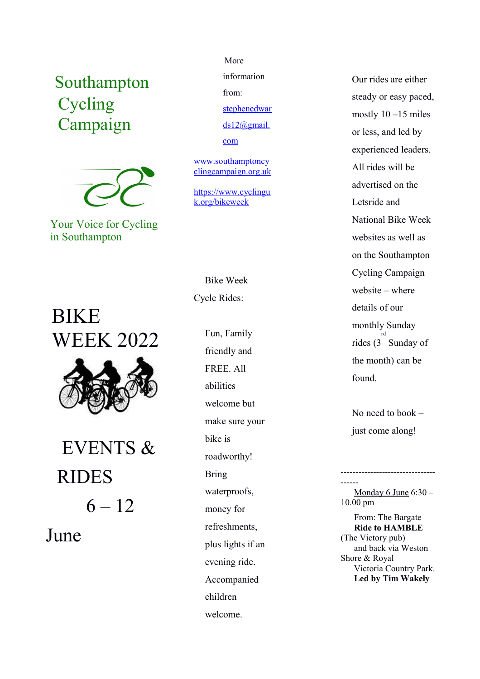## Southampton Cycling Campaign



Your Voice for Cycling in Southampton

# BIKE WEEK 2022



 EVENTS & RIDES  $6 - 12$ 

June

### More

information from:

[stephenedwar](mailto:stephenedwards12@gmail.com)

[ds12@gmail.](mailto:stephenedwards12@gmail.com)

[com](mailto:stephenedwards12@gmail.com)

[www.southamptoncy](http://www.southamptoncyclingcampaign.org.uk/) [clingcampaign.org.uk](http://www.southamptoncyclingcampaign.org.uk/)

[https://www.cyclingu](https://www.cyclinguk.org/bikeweek) [k.org/bikeweek](https://www.cyclinguk.org/bikeweek)

 Bike Week Cycle Rides:

> Fun, Family friendly and FREE. All abilities welcome but make sure your bike is roadworthy! Bring waterproofs, money for refreshments, plus lights if an evening ride. Accompanied children welcome.

Our rides are either steady or easy paced, mostly 10 –15 miles or less, and led by experienced leaders. All rides will be advertised on the Letsride and National Bike Week websites as well as on the Southampton Cycling Campaign website – where details of our monthly Sunday rides (3 Sunday of rd the month) can be found.

No need to book – just come along!

------ Monday 6 June 6:30 – 10.00 pm

--------------------------------

 From: The Bargate  **Ride to HAMBLE** (The Victory pub) and back via Weston Shore & Royal Victoria Country Park.  **Led by Tim Wakely**